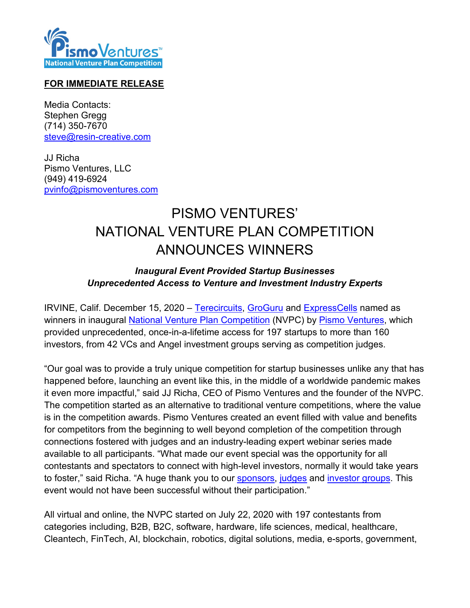

## **FOR IMMEDIATE RELEASE**

Media Contacts: Stephen Gregg (714) 350-7670 [steve@resin-creative.com](mailto:steve@resin-creative.com)

JJ Richa Pismo Ventures, LLC (949) 419-6924 [pvinfo@pismoventures.com](mailto:pvinfo@pismoventures.com)

## PISMO VENTURES' NATIONAL VENTURE PLAN COMPETITION ANNOUNCES WINNERS

## *Inaugural Event Provided Startup Businesses Unprecedented Access to Venture and Investment Industry Experts*

IRVINE, Calif. December 15, 2020 – [Terecircuits,](http://terecircuits.com/) [GroGuru](https://www.groguru.com/) and [ExpressCells](https://xpresscells.com/) named as winners in inaugural [National Venture Plan Competition](https://ventureplancompetition.com/) (NVPC) by [Pismo Ventures,](https://pismoventures.com/) which provided unprecedented, once-in-a-lifetime access for 197 startups to more than 160 investors, from 42 VCs and Angel investment groups serving as competition judges.

"Our goal was to provide a truly unique competition for startup businesses unlike any that has happened before, launching an event like this, in the middle of a worldwide pandemic makes it even more impactful," said JJ Richa, CEO of Pismo Ventures and the founder of the NVPC. The competition started as an alternative to traditional venture competitions, where the value is in the competition awards. Pismo Ventures created an event filled with value and benefits for competitors from the beginning to well beyond completion of the competition through connections fostered with judges and an industry-leading expert webinar series made available to all participants. "What made our event special was the opportunity for all contestants and spectators to connect with high-level investors, normally it would take years to foster," said Richa. "A huge thank you to our [sponsors,](https://ventureplancompetition.com/sponsors/) [judges](https://ventureplancompetition.com/the-judges/) and [investor groups.](https://ventureplancompetition.com/investor-groups/) This event would not have been successful without their participation."

All virtual and online, the NVPC started on July 22, 2020 with 197 contestants from categories including, B2B, B2C, software, hardware, life sciences, medical, healthcare, Cleantech, FinTech, AI, blockchain, robotics, digital solutions, media, e-sports, government,